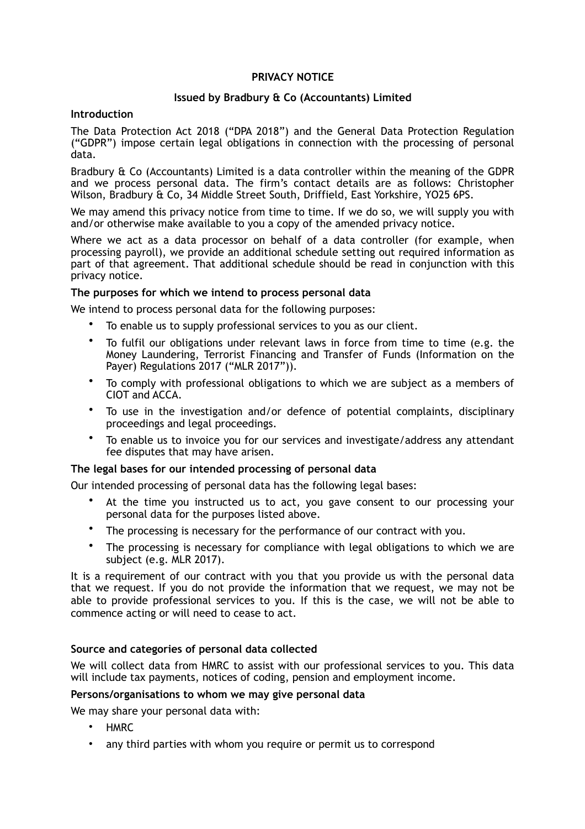# **PRIVACY NOTICE**

# **Issued by Bradbury & Co (Accountants) Limited**

### **Introduction**

The Data Protection Act 2018 ("DPA 2018") and the General Data Protection Regulation ("GDPR") impose certain legal obligations in connection with the processing of personal data*.*

Bradbury & Co (Accountants) Limited is a data controller within the meaning of the GDPR and we process personal data. The firm's contact details are as follows: Christopher Wilson, Bradbury & Co, 34 Middle Street South, Driffield, East Yorkshire, YO25 6PS.

We may amend this privacy notice from time to time. If we do so, we will supply you with and/or otherwise make available to you a copy of the amended privacy notice.

Where we act as a data processor on behalf of a data controller (for example, when processing payroll), we provide an additional schedule setting out required information as part of that agreement. That additional schedule should be read in conjunction with this privacy notice.

### **The purposes for which we intend to process personal data**

We intend to process personal data for the following purposes:

- To enable us to supply professional services to you as our client.
- To fulfil our obligations under relevant laws in force from time to time (e.g. the Money Laundering, Terrorist Financing and Transfer of Funds (Information on the Payer) Regulations 2017 ("MLR 2017")).
- To comply with professional obligations to which we are subject as a members of CIOT and ACCA.
- To use in the investigation and/or defence of potential complaints, disciplinary proceedings and legal proceedings.
- To enable us to invoice you for our services and investigate/address any attendant fee disputes that may have arisen.

# **The legal bases for our intended processing of personal data**

Our intended processing of personal data has the following legal bases:

- At the time you instructed us to act, you gave consent to our processing your personal data for the purposes listed above.
- The processing is necessary for the performance of our contract with you.
- The processing is necessary for compliance with legal obligations to which we are subject (e.g. MLR 2017).

It is a requirement of our contract with you that you provide us with the personal data that we request. If you do not provide the information that we request, we may not be able to provide professional services to you. If this is the case, we will not be able to commence acting or will need to cease to act.

# **Source and categories of personal data collected**

We will collect data from HMRC to assist with our professional services to you. This data will include tax payments, notices of coding, pension and employment income.

# **Persons/organisations to whom we may give personal data**

We may share your personal data with:

- HMRC
- any third parties with whom you require or permit us to correspond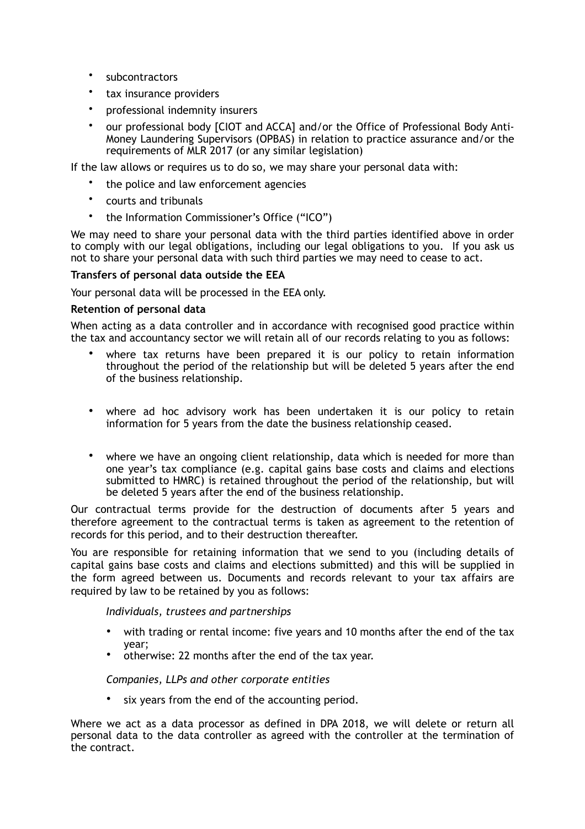- subcontractors
- tax insurance providers
- professional indemnity insurers
- our professional body [CIOT and ACCA] and/or the Office of Professional Body Anti-Money Laundering Supervisors (OPBAS) in relation to practice assurance and/or the requirements of MLR 2017 (or any similar legislation)

If the law allows or requires us to do so, we may share your personal data with:

- the police and law enforcement agencies
- courts and tribunals
- the Information Commissioner's Office ("ICO")

We may need to share your personal data with the third parties identified above in order to comply with our legal obligations, including our legal obligations to you. If you ask us not to share your personal data with such third parties we may need to cease to act.

## **Transfers of personal data outside the EEA**

Your personal data will be processed in the EEA only.

#### **Retention of personal data**

When acting as a data controller and in accordance with recognised good practice within the tax and accountancy sector we will retain all of our records relating to you as follows:

- where tax returns have been prepared it is our policy to retain information throughout the period of the relationship but will be deleted 5 years after the end of the business relationship.
- where ad hoc advisory work has been undertaken it is our policy to retain information for 5 years from the date the business relationship ceased.
- where we have an ongoing client relationship, data which is needed for more than one year's tax compliance (e.g. capital gains base costs and claims and elections submitted to HMRC) is retained throughout the period of the relationship, but will be deleted 5 years after the end of the business relationship.

Our contractual terms provide for the destruction of documents after 5 years and therefore agreement to the contractual terms is taken as agreement to the retention of records for this period, and to their destruction thereafter.

You are responsible for retaining information that we send to you (including details of capital gains base costs and claims and elections submitted) and this will be supplied in the form agreed between us. Documents and records relevant to your tax affairs are required by law to be retained by you as follows:

*Individuals, trustees and partnerships* 

- with trading or rental income: five years and 10 months after the end of the tax year;
- otherwise: 22 months after the end of the tax year.

#### *Companies, LLPs and other corporate entities*

six years from the end of the accounting period.

Where we act as a data processor as defined in DPA 2018, we will delete or return all personal data to the data controller as agreed with the controller at the termination of the contract.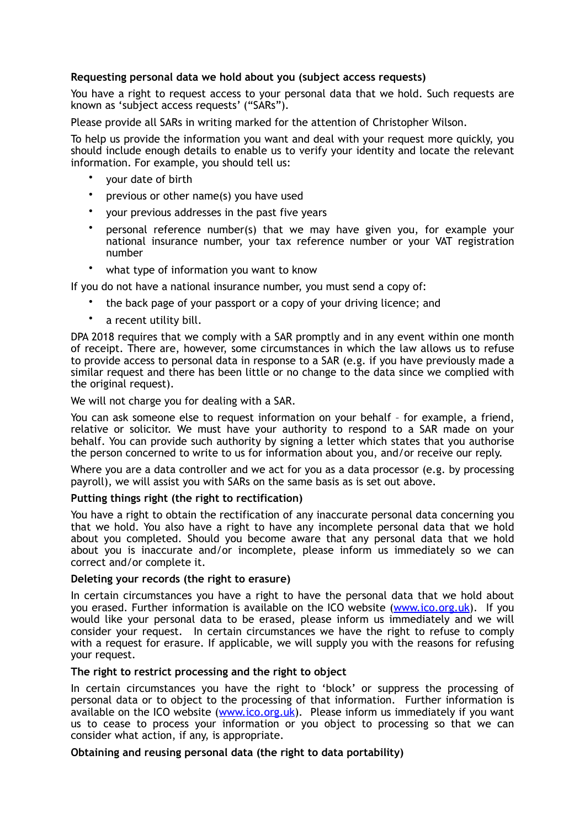## **Requesting personal data we hold about you (subject access requests)**

You have a right to request access to your personal data that we hold. Such requests are known as 'subject access requests' ("SARs").

Please provide all SARs in writing marked for the attention of Christopher Wilson.

To help us provide the information you want and deal with your request more quickly, you should include enough details to enable us to verify your identity and locate the relevant information. For example, you should tell us:

- your date of birth
- previous or other name(s) you have used
- your previous addresses in the past five years
- personal reference number(s) that we may have given you, for example your national insurance number, your tax reference number or your VAT registration number
- what type of information you want to know

If you do not have a national insurance number, you must send a copy of:

- the back page of your passport or a copy of your driving licence; and
- a recent utility bill.

DPA 2018 requires that we comply with a SAR promptly and in any event within one month of receipt. There are, however, some circumstances in which the law allows us to refuse to provide access to personal data in response to a SAR (e.g. if you have previously made a similar request and there has been little or no change to the data since we complied with the original request).

We will not charge you for dealing with a SAR.

You can ask someone else to request information on your behalf – for example, a friend, relative or solicitor. We must have your authority to respond to a SAR made on your behalf. You can provide such authority by signing a letter which states that you authorise the person concerned to write to us for information about you, and/or receive our reply.

Where you are a data controller and we act for you as a data processor (e.g. by processing payroll), we will assist you with SARs on the same basis as is set out above.

### **Putting things right (the right to rectification)**

You have a right to obtain the rectification of any inaccurate personal data concerning you that we hold. You also have a right to have any incomplete personal data that we hold about you completed. Should you become aware that any personal data that we hold about you is inaccurate and/or incomplete, please inform us immediately so we can correct and/or complete it.

#### **Deleting your records (the right to erasure)**

In certain circumstances you have a right to have the personal data that we hold about you erased. Further information is available on the ICO website [\(www.ico.org.uk\)](http://www.ico.org.uk). If you would like your personal data to be erased, please inform us immediately and we will consider your request. In certain circumstances we have the right to refuse to comply with a request for erasure. If applicable, we will supply you with the reasons for refusing your request.

#### **The right to restrict processing and the right to object**

In certain circumstances you have the right to 'block' or suppress the processing of personal data or to object to the processing of that information. Further information is available on the ICO website ([www.ico.org.uk\)](http://www.ico.org.uk). Please inform us immediately if you want us to cease to process your information or you object to processing so that we can consider what action, if any, is appropriate.

#### **Obtaining and reusing personal data (the right to data portability)**